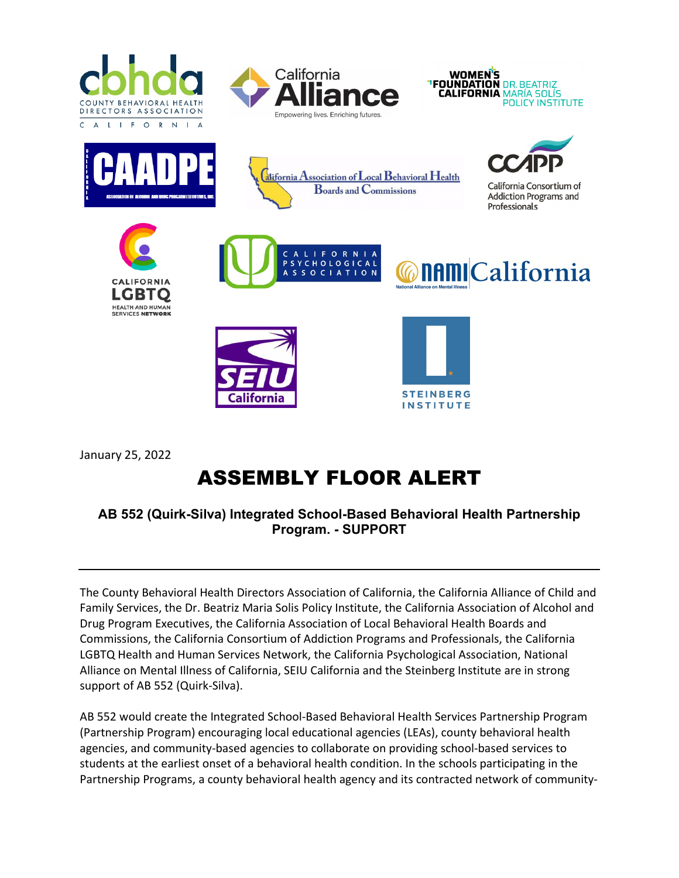





**nami**California





LIFORNI

SYCHOLOGICAL

SOCIATION

 $\overline{\mathbf{s}}$ 

 $\overline{a}$ 



California Consortium of **Addiction Programs and** Professionals







January 25, 2022

## ASSEMBLY FLOOR ALERT

## **AB 552 (Quirk-Silva) Integrated School-Based Behavioral Health Partnership Program. - SUPPORT**

The County Behavioral Health Directors Association of California, the California Alliance of Child and Family Services, the Dr. Beatriz Maria Solis Policy Institute, the California Association of Alcohol and Drug Program Executives, the California Association of Local Behavioral Health Boards and Commissions, the California Consortium of Addiction Programs and Professionals, the California LGBTQ Health and Human Services Network, the California Psychological Association, National Alliance on Mental Illness of California, SEIU California and the Steinberg Institute are in strong support of AB 552 (Quirk-Silva).

AB 552 would create the Integrated School-Based Behavioral Health Services Partnership Program (Partnership Program) encouraging local educational agencies (LEAs), county behavioral health agencies, and community-based agencies to collaborate on providing school-based services to students at the earliest onset of a behavioral health condition. In the schools participating in the Partnership Programs, a county behavioral health agency and its contracted network of community-